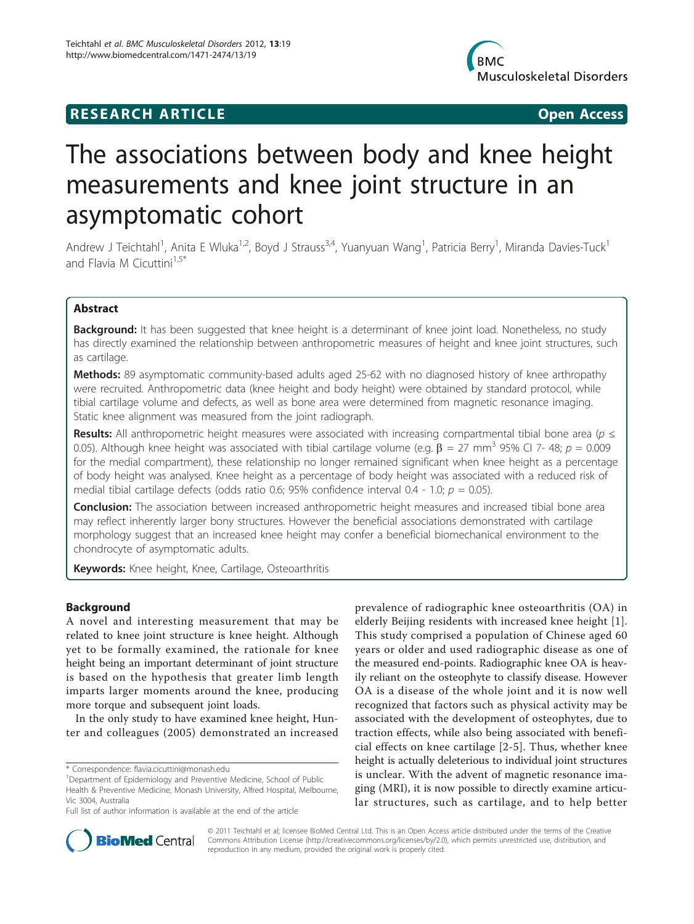# **RESEARCH ARTICLE Example 2018 12:00 Open Access**



# The associations between body and knee height measurements and knee joint structure in an asymptomatic cohort

Andrew J Teichtahl<sup>1</sup>, Anita E Wluka<sup>1,2</sup>, Boyd J Strauss<sup>3,4</sup>, Yuanyuan Wang<sup>1</sup>, Patricia Berry<sup>1</sup>, Miranda Davies-Tuck<sup>1</sup> and Flavia M Cicuttini $1.5*$ 

# Abstract

**Background:** It has been suggested that knee height is a determinant of knee joint load. Nonetheless, no study has directly examined the relationship between anthropometric measures of height and knee joint structures, such as cartilage.

Methods: 89 asymptomatic community-based adults aged 25-62 with no diagnosed history of knee arthropathy were recruited. Anthropometric data (knee height and body height) were obtained by standard protocol, while tibial cartilage volume and defects, as well as bone area were determined from magnetic resonance imaging. Static knee alignment was measured from the joint radiograph.

**Results:** All anthropometric height measures were associated with increasing compartmental tibial bone area ( $p \leq$ 0.05). Although knee height was associated with tibial cartilage volume (e.g.  $\beta = 27$  mm<sup>3</sup> 95% CI 7- 48;  $p = 0.009$ for the medial compartment), these relationship no longer remained significant when knee height as a percentage of body height was analysed. Knee height as a percentage of body height was associated with a reduced risk of medial tibial cartilage defects (odds ratio 0.6; 95% confidence interval 0.4 - 1.0;  $p = 0.05$ ).

**Conclusion:** The association between increased anthropometric height measures and increased tibial bone area may reflect inherently larger bony structures. However the beneficial associations demonstrated with cartilage morphology suggest that an increased knee height may confer a beneficial biomechanical environment to the chondrocyte of asymptomatic adults.

Keywords: Knee height, Knee, Cartilage, Osteoarthritis

# **Background**

A novel and interesting measurement that may be related to knee joint structure is knee height. Although yet to be formally examined, the rationale for knee height being an important determinant of joint structure is based on the hypothesis that greater limb length imparts larger moments around the knee, producing more torque and subsequent joint loads.

In the only study to have examined knee height, Hunter and colleagues (2005) demonstrated an increased

prevalence of radiographic knee osteoarthritis (OA) in elderly Beijing residents with increased knee height [[1](#page-5-0)]. This study comprised a population of Chinese aged 60 years or older and used radiographic disease as one of the measured end-points. Radiographic knee OA is heavily reliant on the osteophyte to classify disease. However OA is a disease of the whole joint and it is now well recognized that factors such as physical activity may be associated with the development of osteophytes, due to traction effects, while also being associated with beneficial effects on knee cartilage [[2-5\]](#page-5-0). Thus, whether knee height is actually deleterious to individual joint structures is unclear. With the advent of magnetic resonance imaging (MRI), it is now possible to directly examine articular structures, such as cartilage, and to help better



© 2011 Teichtahl et al; licensee BioMed Central Ltd. This is an Open Access article distributed under the terms of the Creative Commons Attribution License [\(http://creativecommons.org/licenses/by/2.0](http://creativecommons.org/licenses/by/2.0)), which permits unrestricted use, distribution, and reproduction in any medium, provided the original work is properly cited.

<sup>\*</sup> Correspondence: [flavia.cicuttini@monash.edu](mailto:flavia.cicuttini@monash.edu)

<sup>&</sup>lt;sup>1</sup>Department of Epidemiology and Preventive Medicine, School of Public Health & Preventive Medicine, Monash University, Alfred Hospital, Melbourne, Vic 3004, Australia

Full list of author information is available at the end of the article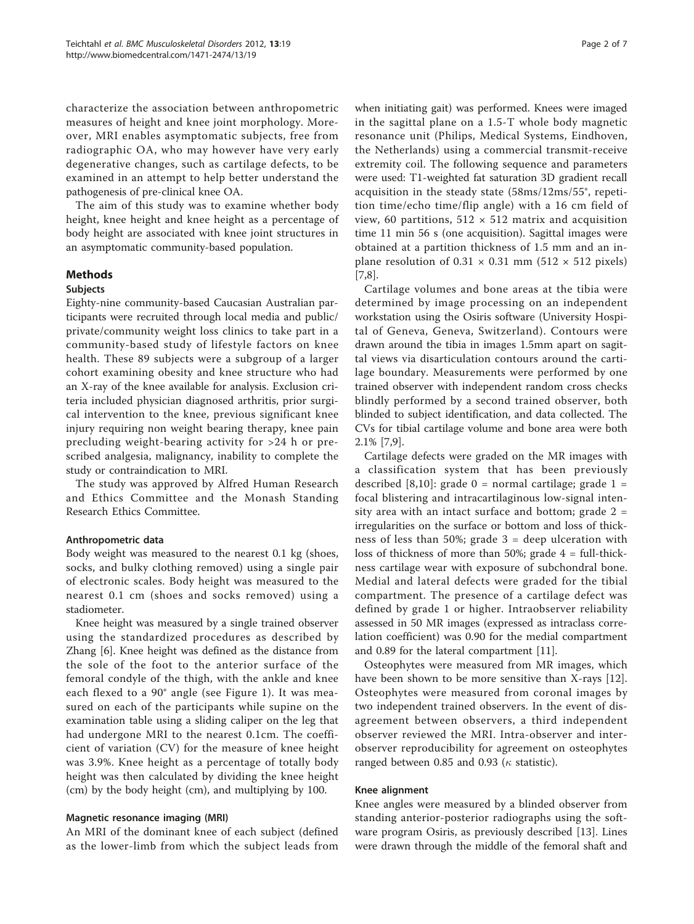characterize the association between anthropometric measures of height and knee joint morphology. Moreover, MRI enables asymptomatic subjects, free from radiographic OA, who may however have very early degenerative changes, such as cartilage defects, to be examined in an attempt to help better understand the pathogenesis of pre-clinical knee OA.

The aim of this study was to examine whether body height, knee height and knee height as a percentage of body height are associated with knee joint structures in an asymptomatic community-based population.

# Methods

### Subjects

Eighty-nine community-based Caucasian Australian participants were recruited through local media and public/ private/community weight loss clinics to take part in a community-based study of lifestyle factors on knee health. These 89 subjects were a subgroup of a larger cohort examining obesity and knee structure who had an X-ray of the knee available for analysis. Exclusion criteria included physician diagnosed arthritis, prior surgical intervention to the knee, previous significant knee injury requiring non weight bearing therapy, knee pain precluding weight-bearing activity for >24 h or prescribed analgesia, malignancy, inability to complete the study or contraindication to MRI.

The study was approved by Alfred Human Research and Ethics Committee and the Monash Standing Research Ethics Committee.

#### Anthropometric data

Body weight was measured to the nearest 0.1 kg (shoes, socks, and bulky clothing removed) using a single pair of electronic scales. Body height was measured to the nearest 0.1 cm (shoes and socks removed) using a stadiometer.

Knee height was measured by a single trained observer using the standardized procedures as described by Zhang [\[6\]](#page-5-0). Knee height was defined as the distance from the sole of the foot to the anterior surface of the femoral condyle of the thigh, with the ankle and knee each flexed to a 90° angle (see Figure [1\)](#page-2-0). It was measured on each of the participants while supine on the examination table using a sliding caliper on the leg that had undergone MRI to the nearest 0.1cm. The coefficient of variation (CV) for the measure of knee height was 3.9%. Knee height as a percentage of totally body height was then calculated by dividing the knee height (cm) by the body height (cm), and multiplying by 100.

#### Magnetic resonance imaging (MRI)

An MRI of the dominant knee of each subject (defined as the lower-limb from which the subject leads from when initiating gait) was performed. Knees were imaged in the sagittal plane on a 1.5-T whole body magnetic resonance unit (Philips, Medical Systems, Eindhoven, the Netherlands) using a commercial transmit-receive extremity coil. The following sequence and parameters were used: T1-weighted fat saturation 3D gradient recall acquisition in the steady state (58ms/12ms/55°, repetition time/echo time/flip angle) with a 16 cm field of view, 60 partitions,  $512 \times 512$  matrix and acquisition time 11 min 56 s (one acquisition). Sagittal images were obtained at a partition thickness of 1.5 mm and an inplane resolution of  $0.31 \times 0.31$  mm (512  $\times$  512 pixels) [[7,8\]](#page-5-0).

Cartilage volumes and bone areas at the tibia were determined by image processing on an independent workstation using the Osiris software (University Hospital of Geneva, Geneva, Switzerland). Contours were drawn around the tibia in images 1.5mm apart on sagittal views via disarticulation contours around the cartilage boundary. Measurements were performed by one trained observer with independent random cross checks blindly performed by a second trained observer, both blinded to subject identification, and data collected. The CVs for tibial cartilage volume and bone area were both 2.1% [[7,9\]](#page-5-0).

Cartilage defects were graded on the MR images with a classification system that has been previously described [[8,10](#page-5-0)]: grade  $0 =$  normal cartilage; grade  $1 =$ focal blistering and intracartilaginous low-signal intensity area with an intact surface and bottom; grade  $2 =$ irregularities on the surface or bottom and loss of thickness of less than 50%; grade  $3 =$  deep ulceration with loss of thickness of more than 50%; grade  $4 = \text{full-thick}$ ness cartilage wear with exposure of subchondral bone. Medial and lateral defects were graded for the tibial compartment. The presence of a cartilage defect was defined by grade 1 or higher. Intraobserver reliability assessed in 50 MR images (expressed as intraclass correlation coefficient) was 0.90 for the medial compartment and 0.89 for the lateral compartment [[11](#page-5-0)].

Osteophytes were measured from MR images, which have been shown to be more sensitive than X-rays [\[12](#page-5-0)]. Osteophytes were measured from coronal images by two independent trained observers. In the event of disagreement between observers, a third independent observer reviewed the MRI. Intra-observer and interobserver reproducibility for agreement on osteophytes ranged between 0.85 and 0.93 ( $\kappa$  statistic).

#### Knee alignment

Knee angles were measured by a blinded observer from standing anterior-posterior radiographs using the software program Osiris, as previously described [\[13\]](#page-5-0). Lines were drawn through the middle of the femoral shaft and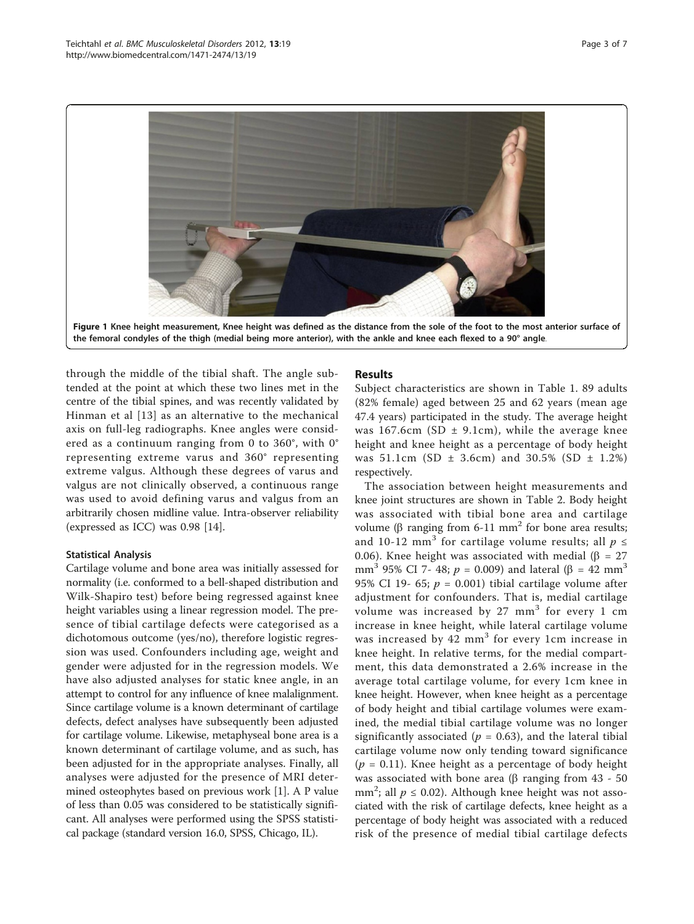<span id="page-2-0"></span>

through the middle of the tibial shaft. The angle subtended at the point at which these two lines met in the centre of the tibial spines, and was recently validated by Hinman et al [[13](#page-5-0)] as an alternative to the mechanical axis on full-leg radiographs. Knee angles were considered as a continuum ranging from 0 to 360°, with 0° representing extreme varus and 360° representing extreme valgus. Although these degrees of varus and valgus are not clinically observed, a continuous range was used to avoid defining varus and valgus from an arbitrarily chosen midline value. Intra-observer reliability (expressed as ICC) was 0.98 [\[14\]](#page-5-0).

### Statistical Analysis

Cartilage volume and bone area was initially assessed for normality (i.e. conformed to a bell-shaped distribution and Wilk-Shapiro test) before being regressed against knee height variables using a linear regression model. The presence of tibial cartilage defects were categorised as a dichotomous outcome (yes/no), therefore logistic regression was used. Confounders including age, weight and gender were adjusted for in the regression models. We have also adjusted analyses for static knee angle, in an attempt to control for any influence of knee malalignment. Since cartilage volume is a known determinant of cartilage defects, defect analyses have subsequently been adjusted for cartilage volume. Likewise, metaphyseal bone area is a known determinant of cartilage volume, and as such, has been adjusted for in the appropriate analyses. Finally, all analyses were adjusted for the presence of MRI determined osteophytes based on previous work [\[1](#page-5-0)]. A P value of less than 0.05 was considered to be statistically significant. All analyses were performed using the SPSS statistical package (standard version 16.0, SPSS, Chicago, IL).

# Results

Subject characteristics are shown in Table [1](#page-3-0). 89 adults (82% female) aged between 25 and 62 years (mean age 47.4 years) participated in the study. The average height was 167.6cm (SD  $\pm$  9.1cm), while the average knee height and knee height as a percentage of body height was 51.1cm (SD  $\pm$  3.6cm) and 30.5% (SD  $\pm$  1.2%) respectively.

The association between height measurements and knee joint structures are shown in Table [2](#page-3-0). Body height was associated with tibial bone area and cartilage volume ( $\beta$  ranging from 6-11 mm<sup>2</sup> for bone area results; and 10-12 mm<sup>3</sup> for cartilage volume results; all  $p \leq$ 0.06). Knee height was associated with medial ( $\beta = 27$ mm<sup>3</sup> 95% CI 7- 48;  $p = 0.009$ ) and lateral ( $\beta = 42$  mm<sup>3</sup> 95% CI 19- 65;  $p = 0.001$ ) tibial cartilage volume after adjustment for confounders. That is, medial cartilage volume was increased by 27  $mm<sup>3</sup>$  for every 1 cm increase in knee height, while lateral cartilage volume was increased by  $42 \text{ mm}^3$  for every 1cm increase in knee height. In relative terms, for the medial compartment, this data demonstrated a 2.6% increase in the average total cartilage volume, for every 1cm knee in knee height. However, when knee height as a percentage of body height and tibial cartilage volumes were examined, the medial tibial cartilage volume was no longer significantly associated ( $p = 0.63$ ), and the lateral tibial cartilage volume now only tending toward significance  $(p = 0.11)$ . Knee height as a percentage of body height was associated with bone area ( $\beta$  ranging from 43 - 50 mm<sup>2</sup>; all  $p \le 0.02$ ). Although knee height was not associated with the risk of cartilage defects, knee height as a percentage of body height was associated with a reduced risk of the presence of medial tibial cartilage defects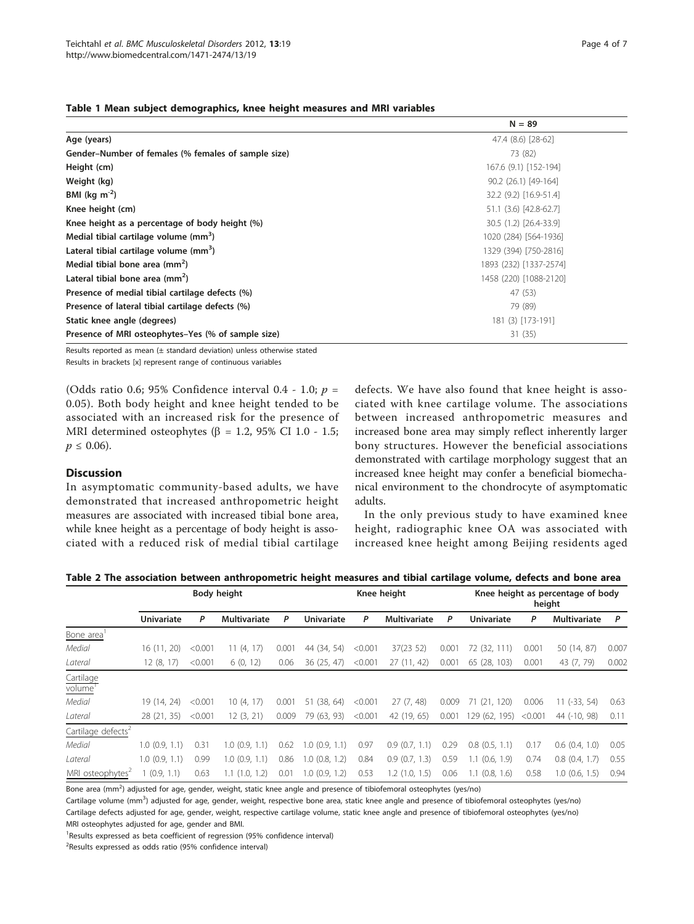<span id="page-3-0"></span>

|  |  |  |  | Table 1 Mean subject demographics, knee height measures and MRI variables |  |  |  |  |  |  |
|--|--|--|--|---------------------------------------------------------------------------|--|--|--|--|--|--|
|--|--|--|--|---------------------------------------------------------------------------|--|--|--|--|--|--|

|                                                     | $N = 89$               |  |  |  |  |  |
|-----------------------------------------------------|------------------------|--|--|--|--|--|
| Age (years)                                         | 47.4 (8.6) [28-62]     |  |  |  |  |  |
| Gender-Number of females (% females of sample size) | 73 (82)                |  |  |  |  |  |
| Height (cm)                                         | 167.6 (9.1) [152-194]  |  |  |  |  |  |
| Weight (kg)                                         | 90.2 (26.1) [49-164]   |  |  |  |  |  |
| BMI (kg $m^{-2}$ )                                  | 32.2 (9.2) [16.9-51.4] |  |  |  |  |  |
| Knee height (cm)                                    | 51.1 (3.6) [42.8-62.7] |  |  |  |  |  |
| Knee height as a percentage of body height (%)      | 30.5 (1.2) [26.4-33.9] |  |  |  |  |  |
| Medial tibial cartilage volume (mm <sup>3</sup> )   | 1020 (284) [564-1936]  |  |  |  |  |  |
| Lateral tibial cartilage volume (mm <sup>3</sup> )  | 1329 (394) [750-2816]  |  |  |  |  |  |
| Medial tibial bone area $\text{(mm}^2)$             | 1893 (232) [1337-2574] |  |  |  |  |  |
| Lateral tibial bone area ( $mm2$ )                  | 1458 (220) [1088-2120] |  |  |  |  |  |
| Presence of medial tibial cartilage defects (%)     | 47 (53)                |  |  |  |  |  |
| Presence of lateral tibial cartilage defects (%)    | 79 (89)                |  |  |  |  |  |
| Static knee angle (degrees)                         | 181 (3) [173-191]      |  |  |  |  |  |
| Presence of MRI osteophytes-Yes (% of sample size)  | 31(35)                 |  |  |  |  |  |

Results reported as mean (± standard deviation) unless otherwise stated Results in brackets [x] represent range of continuous variables

(Odds ratio 0.6; 95% Confidence interval 0.4 - 1.0;  $p =$ 0.05). Both body height and knee height tended to be associated with an increased risk for the presence of MRI determined osteophytes ( $\beta$  = 1.2, 95% CI 1.0 - 1.5;  $p \leq 0.06$ ).

# **Discussion**

In asymptomatic community-based adults, we have demonstrated that increased anthropometric height measures are associated with increased tibial bone area, while knee height as a percentage of body height is associated with a reduced risk of medial tibial cartilage defects. We have also found that knee height is associated with knee cartilage volume. The associations between increased anthropometric measures and increased bone area may simply reflect inherently larger bony structures. However the beneficial associations demonstrated with cartilage morphology suggest that an increased knee height may confer a beneficial biomechanical environment to the chondrocyte of asymptomatic adults.

In the only previous study to have examined knee height, radiographic knee OA was associated with increased knee height among Beijing residents aged

|  | Table 2 The association between anthropometric height measures and tibial cartilage volume, defects and bone area |  |  |  |
|--|-------------------------------------------------------------------------------------------------------------------|--|--|--|
|--|-------------------------------------------------------------------------------------------------------------------|--|--|--|

|                                |                   | <b>Body height</b> | Knee height         |       |                   |         | Knee height as percentage of body<br>height |                |                    |         |                     |       |
|--------------------------------|-------------------|--------------------|---------------------|-------|-------------------|---------|---------------------------------------------|----------------|--------------------|---------|---------------------|-------|
|                                | <b>Univariate</b> | P                  | <b>Multivariate</b> | P     | <b>Univariate</b> | P       | <b>Multivariate</b>                         | P              | <b>Univariate</b>  | P       | <b>Multivariate</b> | P     |
| Bone area                      |                   |                    |                     |       |                   |         |                                             |                |                    |         |                     |       |
| Medial                         | 16(11, 20)        | < 0.001            | 11(4, 17)           | 0.001 | 44 (34, 54)       | < 0.001 | 37(23 52)                                   | $0.00^{\circ}$ | 72 (32, 111)       | 0.001   | 50 (14, 87)         | 0.007 |
| Lateral                        | 12(8, 17)         | < 0.001            | 6(0, 12)            | 0.06  | 36(25, 47)        | < 0.001 | 27(11, 42)                                  | 0.001          | 65 (28, 103)       | 0.001   | 43 (7, 79)          | 0.002 |
| Cartilage<br>volume            |                   |                    |                     |       |                   |         |                                             |                |                    |         |                     |       |
| Medial                         | 19 (14, 24)       | < 0.001            | 10(4, 17)           | 0.001 | (38, 64)<br>51    | < 0.001 | 27(7, 48)                                   | 0.009          | (21, 120)<br>71    | 0.006   | $11 (-33, 54)$      | 0.63  |
| Lateral                        | 28 (21, 35)       | < 0.001            | 12(3, 21)           | 0.009 | 79 (63, 93)       | < 0.001 | 42 (19, 65)                                 | 0.001          | 129 (62, 195)      | < 0.001 | 44 (-10, 98)        | 0.11  |
| Cartilage defects <sup>2</sup> |                   |                    |                     |       |                   |         |                                             |                |                    |         |                     |       |
| Medial                         | $1.0$ (0.9, 1.1)  | 0.31               | $1.0$ (0.9, 1.1)    | 0.62  | 1.0(0.9, 1.1)     | 0.97    | 0.9(0.7, 1.1)                               | 0.29           | $0.8$ $(0.5, 1.1)$ | 0.17    | $0.6$ $(0.4, 1.0)$  | 0.05  |
| Lateral                        | $1.0$ (0.9, 1.1)  | 0.99               | $1.0$ (0.9, 1.1)    | 0.86  | $1.0$ (0.8, 1.2)  | 0.84    | 0.9(0.7, 1.3)                               | 0.59           | $1.1$ (0.6, 1.9)   | 0.74    | $0.8$ $(0.4, 1.7)$  | 0.55  |
| MRI osteophytes <sup>2</sup>   | (0.9, 1.1)        | 0.63               | $1.1$ $(1.0, 1.2)$  | 0.01  | 1.0(0.9, 1.2)     | 0.53    | 1.2(1.0, 1.5)                               | 0.06           | $1.1$ (0.8, 1.6)   | 0.58    | $1.0$ (0.6, 1.5)    | 0.94  |

Bone area (mm<sup>2</sup>) adjusted for age, gender, weight, static knee angle and presence of tibiofemoral osteophytes (yes/no)

Cartilage volume (mm<sup>3</sup>) adjusted for age, gender, weight, respective bone area, static knee angle and presence of tibiofemoral osteophytes (yes/no) Cartilage defects adjusted for age, gender, weight, respective cartilage volume, static knee angle and presence of tibiofemoral osteophytes (yes/no) MRI osteophytes adjusted for age, gender and BMI.

<sup>1</sup>Results expressed as beta coefficient of regression (95% confidence interval)

<sup>2</sup>Results expressed as odds ratio (95% confidence interval)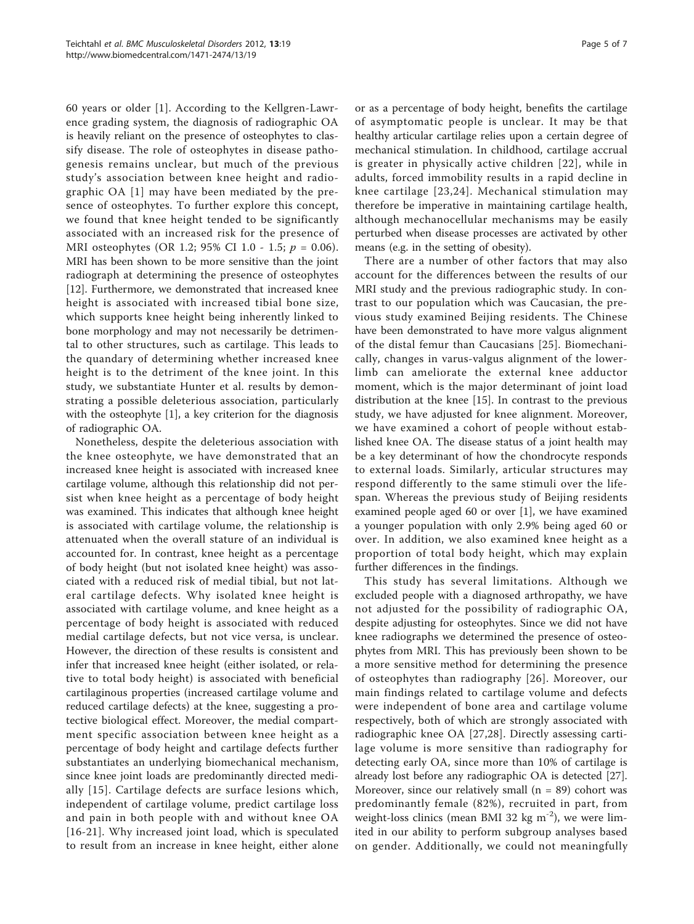60 years or older [\[1](#page-5-0)]. According to the Kellgren-Lawrence grading system, the diagnosis of radiographic OA is heavily reliant on the presence of osteophytes to classify disease. The role of osteophytes in disease pathogenesis remains unclear, but much of the previous study's association between knee height and radiographic OA [\[1\]](#page-5-0) may have been mediated by the presence of osteophytes. To further explore this concept, we found that knee height tended to be significantly associated with an increased risk for the presence of MRI osteophytes (OR 1.2; 95% CI 1.0 - 1.5;  $p = 0.06$ ). MRI has been shown to be more sensitive than the joint radiograph at determining the presence of osteophytes [[12\]](#page-5-0). Furthermore, we demonstrated that increased knee height is associated with increased tibial bone size, which supports knee height being inherently linked to bone morphology and may not necessarily be detrimental to other structures, such as cartilage. This leads to the quandary of determining whether increased knee height is to the detriment of the knee joint. In this study, we substantiate Hunter et al. results by demonstrating a possible deleterious association, particularly with the osteophyte [[1\]](#page-5-0), a key criterion for the diagnosis of radiographic OA.

Nonetheless, despite the deleterious association with the knee osteophyte, we have demonstrated that an increased knee height is associated with increased knee cartilage volume, although this relationship did not persist when knee height as a percentage of body height was examined. This indicates that although knee height is associated with cartilage volume, the relationship is attenuated when the overall stature of an individual is accounted for. In contrast, knee height as a percentage of body height (but not isolated knee height) was associated with a reduced risk of medial tibial, but not lateral cartilage defects. Why isolated knee height is associated with cartilage volume, and knee height as a percentage of body height is associated with reduced medial cartilage defects, but not vice versa, is unclear. However, the direction of these results is consistent and infer that increased knee height (either isolated, or relative to total body height) is associated with beneficial cartilaginous properties (increased cartilage volume and reduced cartilage defects) at the knee, suggesting a protective biological effect. Moreover, the medial compartment specific association between knee height as a percentage of body height and cartilage defects further substantiates an underlying biomechanical mechanism, since knee joint loads are predominantly directed medially [[15\]](#page-5-0). Cartilage defects are surface lesions which, independent of cartilage volume, predict cartilage loss and pain in both people with and without knee OA [[16](#page-5-0)-[21](#page-5-0)]. Why increased joint load, which is speculated to result from an increase in knee height, either alone

or as a percentage of body height, benefits the cartilage of asymptomatic people is unclear. It may be that healthy articular cartilage relies upon a certain degree of mechanical stimulation. In childhood, cartilage accrual is greater in physically active children [[22](#page-5-0)], while in adults, forced immobility results in a rapid decline in knee cartilage [[23](#page-5-0),[24\]](#page-5-0). Mechanical stimulation may therefore be imperative in maintaining cartilage health, although mechanocellular mechanisms may be easily perturbed when disease processes are activated by other means (e.g. in the setting of obesity).

There are a number of other factors that may also account for the differences between the results of our MRI study and the previous radiographic study. In contrast to our population which was Caucasian, the previous study examined Beijing residents. The Chinese have been demonstrated to have more valgus alignment of the distal femur than Caucasians [\[25\]](#page-6-0). Biomechanically, changes in varus-valgus alignment of the lowerlimb can ameliorate the external knee adductor moment, which is the major determinant of joint load distribution at the knee [[15\]](#page-5-0). In contrast to the previous study, we have adjusted for knee alignment. Moreover, we have examined a cohort of people without established knee OA. The disease status of a joint health may be a key determinant of how the chondrocyte responds to external loads. Similarly, articular structures may respond differently to the same stimuli over the lifespan. Whereas the previous study of Beijing residents examined people aged 60 or over [\[1](#page-5-0)], we have examined a younger population with only 2.9% being aged 60 or over. In addition, we also examined knee height as a proportion of total body height, which may explain further differences in the findings.

This study has several limitations. Although we excluded people with a diagnosed arthropathy, we have not adjusted for the possibility of radiographic OA, despite adjusting for osteophytes. Since we did not have knee radiographs we determined the presence of osteophytes from MRI. This has previously been shown to be a more sensitive method for determining the presence of osteophytes than radiography [[26](#page-6-0)]. Moreover, our main findings related to cartilage volume and defects were independent of bone area and cartilage volume respectively, both of which are strongly associated with radiographic knee OA [[27,28\]](#page-6-0). Directly assessing cartilage volume is more sensitive than radiography for detecting early OA, since more than 10% of cartilage is already lost before any radiographic OA is detected [[27](#page-6-0)]. Moreover, since our relatively small ( $n = 89$ ) cohort was predominantly female (82%), recruited in part, from weight-loss clinics (mean BMI 32 kg  $m^{-2}$ ), we were limited in our ability to perform subgroup analyses based on gender. Additionally, we could not meaningfully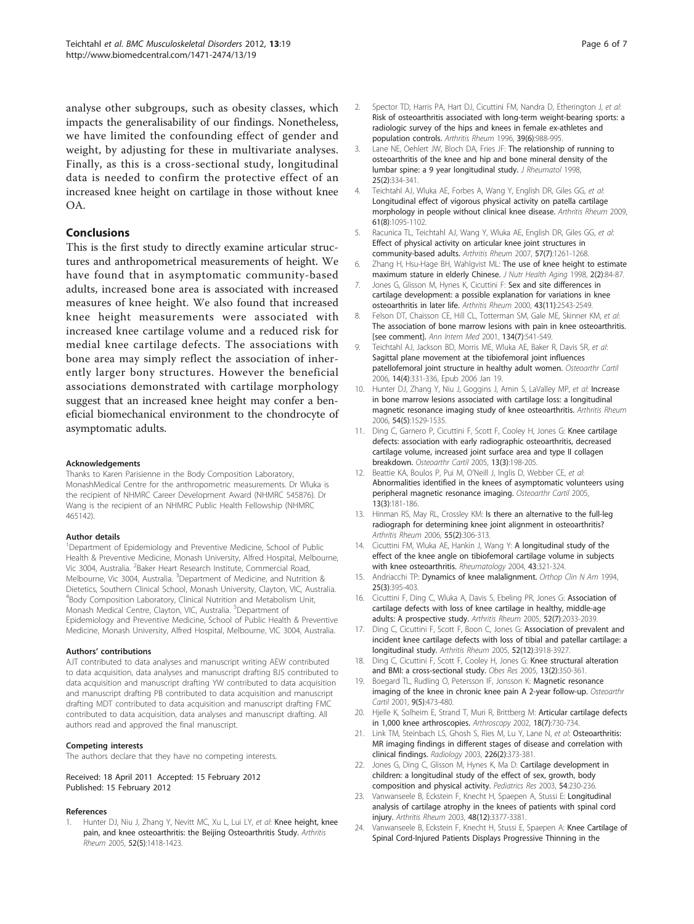<span id="page-5-0"></span>analyse other subgroups, such as obesity classes, which impacts the generalisability of our findings. Nonetheless, we have limited the confounding effect of gender and weight, by adjusting for these in multivariate analyses. Finally, as this is a cross-sectional study, longitudinal data is needed to confirm the protective effect of an increased knee height on cartilage in those without knee OA.

# Conclusions

This is the first study to directly examine articular structures and anthropometrical measurements of height. We have found that in asymptomatic community-based adults, increased bone area is associated with increased measures of knee height. We also found that increased knee height measurements were associated with increased knee cartilage volume and a reduced risk for medial knee cartilage defects. The associations with bone area may simply reflect the association of inherently larger bony structures. However the beneficial associations demonstrated with cartilage morphology suggest that an increased knee height may confer a beneficial biomechanical environment to the chondrocyte of asymptomatic adults.

#### Acknowledgements

Thanks to Karen Parisienne in the Body Composition Laboratory, MonashMedical Centre for the anthropometric measurements. Dr Wluka is the recipient of NHMRC Career Development Award (NHMRC 545876). Dr Wang is the recipient of an NHMRC Public Health Fellowship (NHMRC 465142).

#### Author details

<sup>1</sup>Department of Epidemiology and Preventive Medicine, School of Public Health & Preventive Medicine, Monash University, Alfred Hospital, Melbourne, Vic 3004, Australia. <sup>2</sup>Baker Heart Research Institute, Commercial Road, Melbourne, Vic 3004, Australia. <sup>3</sup>Department of Medicine, and Nutrition & Dietetics, Southern Clinical School, Monash University, Clayton, VIC, Australia. 4 Body Composition Laboratory, Clinical Nutrition and Metabolism Unit, Monash Medical Centre, Clayton, VIC, Australia. <sup>5</sup>Department of Epidemiology and Preventive Medicine, School of Public Health & Preventive Medicine, Monash University, Alfred Hospital, Melbourne, VIC 3004, Australia.

#### Authors' contributions

AJT contributed to data analyses and manuscript writing AEW contributed to data acquisition, data analyses and manuscript drafting BJS contributed to data acquisition and manuscript drafting YW contributed to data acquisition and manuscript drafting PB contributed to data acquisition and manuscript drafting MDT contributed to data acquisition and manuscript drafting FMC contributed to data acquisition, data analyses and manuscript drafting. All authors read and approved the final manuscript.

#### Competing interests

The authors declare that they have no competing interests.

Received: 18 April 2011 Accepted: 15 February 2012 Published: 15 February 2012

#### References

Hunter DJ, Niu J, Zhang Y, Nevitt MC, Xu L, Lui LY, et al: [Knee height, knee](http://www.ncbi.nlm.nih.gov/pubmed/15880346?dopt=Abstract) [pain, and knee osteoarthritis: the Beijing Osteoarthritis Study.](http://www.ncbi.nlm.nih.gov/pubmed/15880346?dopt=Abstract) Arthritis Rheum 2005, 52(5):1418-1423.

- 2. Spector TD, Harris PA, Hart DJ, Cicuttini FM, Nandra D, Etherington J, et al: [Risk of osteoarthritis associated with long-term weight-bearing sports: a](http://www.ncbi.nlm.nih.gov/pubmed/8651993?dopt=Abstract) [radiologic survey of the hips and knees in female ex-athletes and](http://www.ncbi.nlm.nih.gov/pubmed/8651993?dopt=Abstract) [population controls.](http://www.ncbi.nlm.nih.gov/pubmed/8651993?dopt=Abstract) Arthritis Rheum 1996, 39(6):988-995.
- 3. Lane NE, Oehlert JW, Bloch DA, Fries JF: [The relationship of running to](http://www.ncbi.nlm.nih.gov/pubmed/9489830?dopt=Abstract) [osteoarthritis of the knee and hip and bone mineral density of the](http://www.ncbi.nlm.nih.gov/pubmed/9489830?dopt=Abstract) [lumbar spine: a 9 year longitudinal study.](http://www.ncbi.nlm.nih.gov/pubmed/9489830?dopt=Abstract) J Rheumatol 1998, 25(2):334-341.
- 4. Teichtahl AJ, Wluka AE, Forbes A, Wang Y, English DR, Giles GG, et al: [Longitudinal effect of vigorous physical activity on patella cartilage](http://www.ncbi.nlm.nih.gov/pubmed/19644895?dopt=Abstract) [morphology in people without clinical knee disease.](http://www.ncbi.nlm.nih.gov/pubmed/19644895?dopt=Abstract) Arthritis Rheum 2009, 61(8):1095-1102.
- 5. Racunica TL, Teichtahl AJ, Wang Y, Wluka AE, English DR, Giles GG, et al: [Effect of physical activity on articular knee joint structures in](http://www.ncbi.nlm.nih.gov/pubmed/17907212?dopt=Abstract) [community-based adults.](http://www.ncbi.nlm.nih.gov/pubmed/17907212?dopt=Abstract) Arthritis Rheum 2007, 57(7):1261-1268.
- 6. Zhang H, Hsu-Hage BH, Wahlgvist ML: [The use of knee height to estimate](http://www.ncbi.nlm.nih.gov/pubmed/10993571?dopt=Abstract) [maximum stature in elderly Chinese.](http://www.ncbi.nlm.nih.gov/pubmed/10993571?dopt=Abstract) J Nutr Health Aging 1998, 2(2):84-87.
- 7. Jones G, Glisson M, Hynes K, Cicuttini F: [Sex and site differences in](http://www.ncbi.nlm.nih.gov/pubmed/11083279?dopt=Abstract) [cartilage development: a possible explanation for variations in knee](http://www.ncbi.nlm.nih.gov/pubmed/11083279?dopt=Abstract) [osteoarthritis in later life.](http://www.ncbi.nlm.nih.gov/pubmed/11083279?dopt=Abstract) Arthritis Rheum 2000, 43(11):2543-2549.
- 8. Felson DT, Chaisson CE, Hill CL, Totterman SM, Gale ME, Skinner KM, et al: [The association of bone marrow lesions with pain in knee osteoarthritis.](http://www.ncbi.nlm.nih.gov/pubmed/11281736?dopt=Abstract) [\[see comment\].](http://www.ncbi.nlm.nih.gov/pubmed/11281736?dopt=Abstract) Ann Intern Med 2001, 134(7):541-549.
- 9. Teichtahl AJ, Jackson BD, Morris ME, Wluka AE, Baker R, Davis SR, et al: [Sagittal plane movement at the tibiofemoral joint influences](http://www.ncbi.nlm.nih.gov/pubmed/16427326?dopt=Abstract) [patellofemoral joint structure in healthy adult women.](http://www.ncbi.nlm.nih.gov/pubmed/16427326?dopt=Abstract) Osteoarthr Cartil 2006, 14(4):331-336, Epub 2006 Jan 19.
- 10. Hunter DJ, Zhang Y, Niu J, Goggins J, Amin S, LaValley MP, et al: [Increase](http://www.ncbi.nlm.nih.gov/pubmed/16646037?dopt=Abstract) [in bone marrow lesions associated with cartilage loss: a longitudinal](http://www.ncbi.nlm.nih.gov/pubmed/16646037?dopt=Abstract) [magnetic resonance imaging study of knee osteoarthritis.](http://www.ncbi.nlm.nih.gov/pubmed/16646037?dopt=Abstract) Arthritis Rheum 2006, 54(5):1529-1535.
- 11. Ding C, Garnero P, Cicuttini F, Scott F, Cooley H, Jones G: [Knee cartilage](http://www.ncbi.nlm.nih.gov/pubmed/15727885?dopt=Abstract) [defects: association with early radiographic osteoarthritis, decreased](http://www.ncbi.nlm.nih.gov/pubmed/15727885?dopt=Abstract) [cartilage volume, increased joint surface area and type II collagen](http://www.ncbi.nlm.nih.gov/pubmed/15727885?dopt=Abstract) [breakdown.](http://www.ncbi.nlm.nih.gov/pubmed/15727885?dopt=Abstract) Osteoarthr Cartil 2005, 13(3):198-205.
- 12. Beattie KA, Boulos P, Pui M, O'Neill J, Inglis D, Webber CE, et al: [Abnormalities identified in the knees of asymptomatic volunteers using](http://www.ncbi.nlm.nih.gov/pubmed/15727883?dopt=Abstract) [peripheral magnetic resonance imaging.](http://www.ncbi.nlm.nih.gov/pubmed/15727883?dopt=Abstract) Osteoarthr Cartil 2005, 13(3):181-186.
- 13. Hinman RS, May RL, Crossley KM: [Is there an alternative to the full-leg](http://www.ncbi.nlm.nih.gov/pubmed/16583430?dopt=Abstract) radiograph [for determining knee joint alignment in osteoarthritis?](http://www.ncbi.nlm.nih.gov/pubmed/16583430?dopt=Abstract) Arthritis Rheum 2006, 55(2):306-313.
- 14. Cicuttini FM, Wluka AE, Hankin J, Wang Y: [A longitudinal study of the](http://www.ncbi.nlm.nih.gov/pubmed/14963201?dopt=Abstract) [effect of the knee angle on tibiofemoral cartilage volume in subjects](http://www.ncbi.nlm.nih.gov/pubmed/14963201?dopt=Abstract) [with knee osteoarthritis.](http://www.ncbi.nlm.nih.gov/pubmed/14963201?dopt=Abstract) Rheumatology 2004, 43:321-324.
- 15. Andriacchi TP: Dynamics of knee malalignment. Orthop Clin N Am 1994, 25(3):395-403.
- 16. Cicuttini F, Ding C, Wluka A, Davis S, Ebeling PR, Jones G: [Association of](http://www.ncbi.nlm.nih.gov/pubmed/15986359?dopt=Abstract) [cartilage defects with loss of knee cartilage in healthy, middle-age](http://www.ncbi.nlm.nih.gov/pubmed/15986359?dopt=Abstract) [adults: A prospective study.](http://www.ncbi.nlm.nih.gov/pubmed/15986359?dopt=Abstract) Arthritis Rheum 2005, 52(7):2033-2039.
- 17. Ding C, Cicuttini F, Scott F, Boon C, Jones G: [Association of prevalent and](http://www.ncbi.nlm.nih.gov/pubmed/16320339?dopt=Abstract) [incident knee cartilage defects with loss of tibial and patellar cartilage: a](http://www.ncbi.nlm.nih.gov/pubmed/16320339?dopt=Abstract) [longitudinal study.](http://www.ncbi.nlm.nih.gov/pubmed/16320339?dopt=Abstract) Arthritis Rheum 2005, 52(12):3918-3927.
- 18. Ding C, Cicuttini F, Scott F, Cooley H, Jones G; [Knee structural alteration](http://www.ncbi.nlm.nih.gov/pubmed/15800294?dopt=Abstract) [and BMI: a cross-sectional study.](http://www.ncbi.nlm.nih.gov/pubmed/15800294?dopt=Abstract) Obes Res 2005, 13(2):350-361.
- 19. Boegard TL, Rudling O, Petersson IF, Jonsson K: [Magnetic resonance](http://www.ncbi.nlm.nih.gov/pubmed/11467896?dopt=Abstract) [imaging of the knee in chronic knee pain A 2-year follow-up.](http://www.ncbi.nlm.nih.gov/pubmed/11467896?dopt=Abstract) Osteoarthr Cartil 2001, 9(5):473-480.
- 20. Hjelle K, Solheim E, Strand T, Muri R, Brittberg M: [Articular cartilage defects](http://www.ncbi.nlm.nih.gov/pubmed/12209430?dopt=Abstract) [in 1,000 knee arthroscopies.](http://www.ncbi.nlm.nih.gov/pubmed/12209430?dopt=Abstract) Arthroscopy 2002, 18(7):730-734.
- 21. Link TM, Steinbach LS, Ghosh S, Ries M, Lu Y, Lane N, et al: [Osteoarthritis:](http://www.ncbi.nlm.nih.gov/pubmed/12563128?dopt=Abstract) [MR imaging findings in different stages of disease and correlation with](http://www.ncbi.nlm.nih.gov/pubmed/12563128?dopt=Abstract) [clinical findings.](http://www.ncbi.nlm.nih.gov/pubmed/12563128?dopt=Abstract) Radiology 2003, 226(2):373-381.
- 22. Jones G, Ding C, Glisson M, Hynes K, Ma D: Cartilage development in children: a longitudinal study of the effect of sex, growth, body composition and physical activity. Pediatrics Res 2003, 54:230-236.
- 23. Vanwanseele B, Eckstein F, Knecht H, Spaepen A, Stussi E: [Longitudinal](http://www.ncbi.nlm.nih.gov/pubmed/14673989?dopt=Abstract) [analysis of cartilage atrophy in the knees of patients with spinal cord](http://www.ncbi.nlm.nih.gov/pubmed/14673989?dopt=Abstract) [injury.](http://www.ncbi.nlm.nih.gov/pubmed/14673989?dopt=Abstract) Arthritis Rheum 2003, 48(12):3377-3381.
- 24. Vanwanseele B, Eckstein F, Knecht H, Stussi E, Spaepen A: [Knee Cartilage of](http://www.ncbi.nlm.nih.gov/pubmed/12209511?dopt=Abstract) [Spinal Cord-Injured Patients Displays Progressive Thinning in the](http://www.ncbi.nlm.nih.gov/pubmed/12209511?dopt=Abstract)